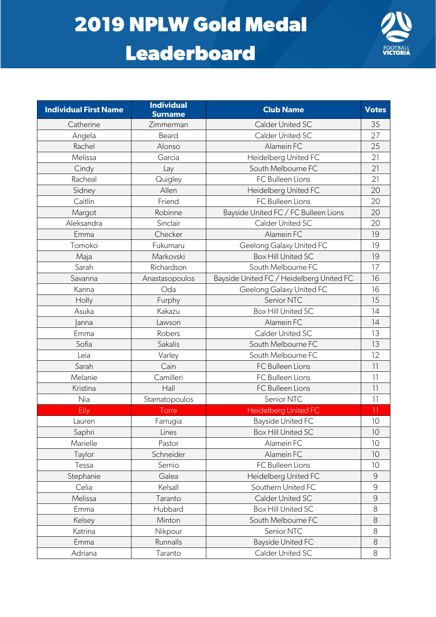## **2019 NPLW Gold Medal**

## **Leaderboard**



| <b>Individual First Name</b> | <b>Individual</b><br><b>Surname</b> | <b>Club Name</b>                         | <b>Votes</b>    |
|------------------------------|-------------------------------------|------------------------------------------|-----------------|
| Catherine                    | Zimmerman                           | <b>Calder United SC</b>                  | 35              |
| Angela                       | Beard                               | Calder United SC                         | 27              |
| Rachel                       | Alonso                              | Alamein FC                               | 25              |
| Melissa                      | Garcia                              | Heidelberg United FC                     | 21              |
| Cindy                        | Lay                                 | South Melbourne FC                       | 21              |
| Racheal                      | Quigley                             | FC Bulleen Lions                         | 21              |
| Sidney                       | Allen                               | Heidelberg United FC                     | 20              |
| Caitlin                      | Friend                              | FC Bulleen Lions                         | 20              |
| Margot                       | Robinne                             | Bayside United FC / FC Bulleen Lions     | 20              |
| Aleksandra                   | Sinclair                            | Calder United SC                         | 20              |
| Emma                         | Checker                             | Alamein FC                               | 19              |
| Tomoko                       | Fukumaru                            | Geelong Galaxy United FC                 | 19              |
| Maja                         | Markovski                           | Box Hill United SC                       | 19              |
| Sarah                        | Richardson                          | South Melbourne FC                       | 17              |
| Savanna                      | Anastasopoulos                      | Bayside United FC / Heidelberg United FC | 16              |
| Kanna                        | Oda                                 | Geelong Galaxy United FC                 | 16              |
| Holly                        | Furphy                              | Senior NTC                               | 15              |
| Asuka                        | Kakazu                              | <b>Box Hill United SC</b>                | 14              |
| anna                         | Lawson                              | Alamein FC                               | 14              |
| Emma                         | Robers                              | Calder United SC                         | 13              |
| Sofia                        | Sakalis                             | South Melbourne FC                       | 13              |
| Leia                         | Varley                              | South Melbourne FC                       | 12              |
| Sarah                        | Cain                                | FC Bulleen Lions                         | $\overline{11}$ |
| Melanie                      | Camilleri                           | FC Bulleen Lions                         | $\overline{1}$  |
| Kristina                     | Hall                                | FC Bulleen Lions                         | $\overline{11}$ |
| Nia                          | Stamatopoulos                       | Senior NTC                               | $\overline{1}$  |
| Elly                         | Torre                               | <b>Heidelberg United FC</b>              | $\overline{1}$  |
| Lauren                       | Farrugia                            | <b>Bayside United FC</b>                 | 10              |
| Saphri                       | Lines                               | Box Hill United SC                       | 10              |
| Marielle                     | Pastor                              | Alamein FC                               | 10              |
| Taylor                       | Schneider                           | Alamein FC                               | 10              |
| Tessa                        | Sernio                              | FC Bulleen Lions                         | 10              |
| Stephanie                    | Galea                               | Heidelberg United FC                     | $\mathcal{G}$   |
| Celia                        | Kelsall                             | Southern United FC                       | $\mathcal{G}$   |
| Melissa                      | Taranto                             | Calder United SC                         | $\mathcal{G}$   |
| Emma                         | Hubbard                             | <b>Box Hill United SC</b>                | 8               |
| Kelsey                       | Minton                              | South Melbourne FC                       | 8               |
| Katrina                      | Nikpour                             | Senior NTC                               | 8               |
| Emma                         | Runnalls                            | <b>Bayside United FC</b>                 | 8               |
| Adriana                      | Taranto                             | Calder United SC                         | 8               |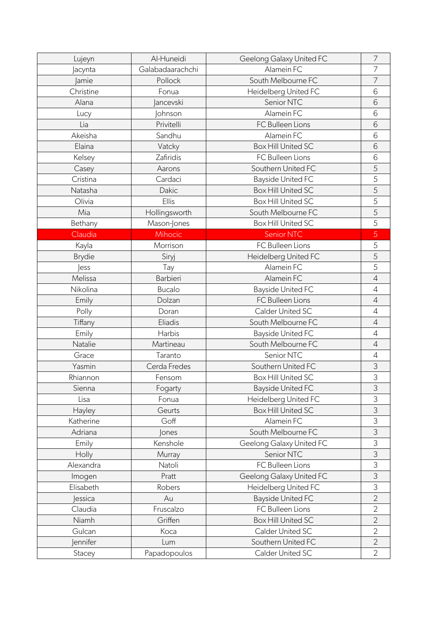| Lujeyn         | Al-Huneidi       | Geelong Galaxy United FC  | 7              |
|----------------|------------------|---------------------------|----------------|
| Jacynta        | Galabadaarachchi | Alamein FC                | 7              |
| Jamie          | Pollock          | South Melbourne FC        | 7              |
| Christine      | Fonua            | Heidelberg United FC      | 6              |
| Alana          | <b>Jancevski</b> | Senior NTC                | 6              |
| Lucy           | <b>Johnson</b>   | Alamein FC                | 6              |
| Lia            | Privitelli       | FC Bulleen Lions          | 6              |
| Akeisha        | Sandhu           | Alamein FC                | 6              |
| Elaina         | Vatcky           | <b>Box Hill United SC</b> | 6              |
| Kelsey         | Zafiridis        | FC Bulleen Lions          | 6              |
| Casey          | Aarons           | Southern United FC        | 5              |
| Cristina       | Cardaci          | <b>Bayside United FC</b>  | 5              |
| Natasha        | Dakic            | <b>Box Hill United SC</b> | 5              |
| Olivia         | Ellis            | <b>Box Hill United SC</b> | 5              |
| Mia            | Hollingsworth    | South Melbourne FC        | 5              |
| Bethany        | Mason-Jones      | <b>Box Hill United SC</b> | 5              |
| Claudia        | Mihocic          | Senior NTC                | 5              |
| Kayla          | Morrison         | FC Bulleen Lions          | 5              |
| <b>Brydie</b>  | Siryj            | Heidelberg United FC      | 5              |
| <b>less</b>    | Tay              | Alamein FC                | 5              |
| Melissa        | Barbieri         | Alamein FC                | $\overline{4}$ |
| Nikolina       | <b>Bucalo</b>    | <b>Bayside United FC</b>  | $\overline{4}$ |
| Emily          | Dolzan           | FC Bulleen Lions          | $\overline{4}$ |
| Polly          | Doran            | Calder United SC          | $\overline{4}$ |
| Tiffany        | Eliadis          | South Melbourne FC        | $\overline{4}$ |
| Emily          | Harbis           | <b>Bayside United FC</b>  | $\overline{4}$ |
| Natalie        | Martineau        | South Melbourne FC        | $\overline{4}$ |
| Grace          | Taranto          | Senior NTC                | $\overline{4}$ |
| Yasmin         | Cerda Fredes     | Southern United FC        | 3              |
| Rhiannon       | Fensom           | <b>Box Hill United SC</b> | 3              |
| Sienna         | Fogarty          | <b>Bayside United FC</b>  | 3              |
| Lisa           | Fonua            | Heidelberg United FC      | 3              |
| Hayley         | Geurts           | <b>Box Hill United SC</b> | 3              |
| Katherine      | Goff             | Alamein FC                | 3              |
| Adriana        | Jones            | South Melbourne FC        | 3              |
| Emily          | Kenshole         | Geelong Galaxy United FC  | 3              |
| Holly          | Murray           | Senior NTC                | 3              |
| Alexandra      | Natoli           | FC Bulleen Lions          | 3              |
| Imogen         | Pratt            | Geelong Galaxy United FC  | 3              |
| Elisabeth      | Robers           | Heidelberg United FC      | 3              |
| <b>Jessica</b> | Au               | <b>Bayside United FC</b>  | $\overline{2}$ |
| Claudia        | Fruscalzo        | FC Bulleen Lions          | $\overline{2}$ |
| Niamh          | Griffen          | <b>Box Hill United SC</b> | $\overline{2}$ |
| Gulcan         | Koca             | Calder United SC          | $\overline{2}$ |
| ennifer        | Lum              | Southern United FC        | $\overline{2}$ |
| Stacey         | Papadopoulos     | Calder United SC          | $\overline{2}$ |